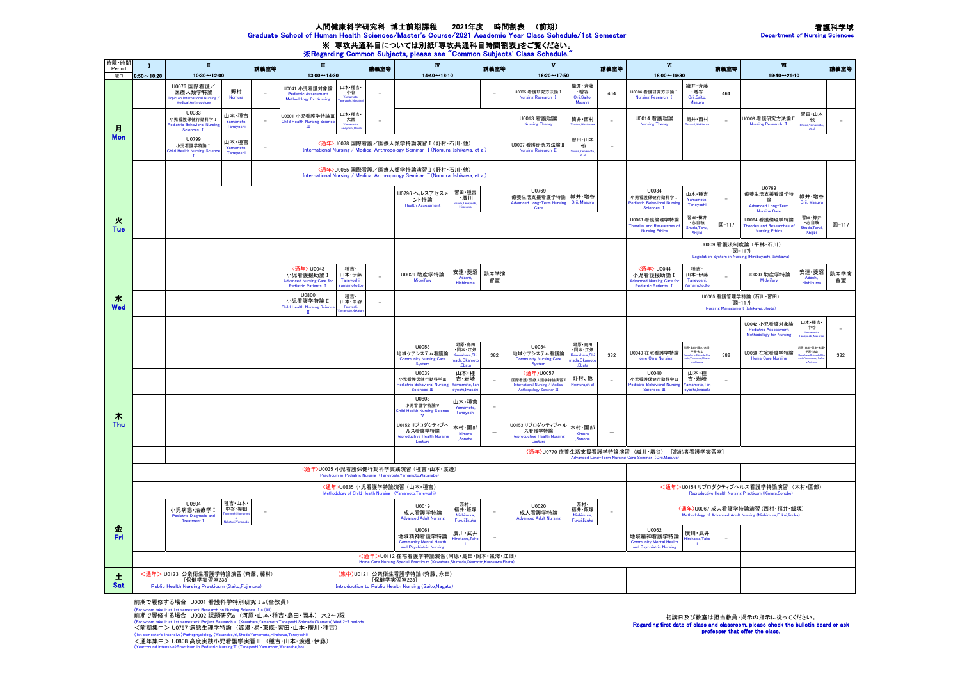## 看護科学域 Department of Nursing Sciences

## 人間健康科学研究科 博士前期課程 2021年度 時間割表 (前期) Graduate School of Human Health Sciences/Master's Course/2021 Academic Year Class Schedule/1st Semester

※ 専攻共通科目については別紙「専攻共通科目時間割表」をご覧ください。<br>※Regarding Common Subjects, please see "Common Subjects' Class Schedule."

| 時限・時間<br>Period                                                                                                      | $\blacksquare$<br>$\mathbf{I}$                                                                                                                                                                          |                                                                                                                                                                                                        | 講義室等                           | $\mathbf{H}$<br>議業室等                                                                    |                                                                                                                                  | $\overline{\mathbf{w}}$<br>読算室等                                                                                          |                                                                                        | $\mathbf{v}$<br>講義室等                                  |                                                                     | $\Psi$<br>読集室等                                                                              |                                                                                                    |                                                                                        | $\blacksquare$                                                                                               |                                                     | <b>株養室等</b>     |                                                                                |                                         |            |
|----------------------------------------------------------------------------------------------------------------------|---------------------------------------------------------------------------------------------------------------------------------------------------------------------------------------------------------|--------------------------------------------------------------------------------------------------------------------------------------------------------------------------------------------------------|--------------------------------|-----------------------------------------------------------------------------------------|----------------------------------------------------------------------------------------------------------------------------------|--------------------------------------------------------------------------------------------------------------------------|----------------------------------------------------------------------------------------|-------------------------------------------------------|---------------------------------------------------------------------|---------------------------------------------------------------------------------------------|----------------------------------------------------------------------------------------------------|----------------------------------------------------------------------------------------|--------------------------------------------------------------------------------------------------------------|-----------------------------------------------------|-----------------|--------------------------------------------------------------------------------|-----------------------------------------|------------|
| 曜日                                                                                                                   | $10:30 - 12:00$<br>$8:50 - 10:20$                                                                                                                                                                       |                                                                                                                                                                                                        |                                | $13:00 - 14:30$                                                                         |                                                                                                                                  | $14:40 \sim 16:10$                                                                                                       |                                                                                        |                                                       | $16:20 - 17:50$                                                     |                                                                                             |                                                                                                    | 18:00~19:30                                                                            |                                                                                                              |                                                     | $19:40 - 21:10$ |                                                                                |                                         |            |
| 月<br>Mon                                                                                                             |                                                                                                                                                                                                         | U0076 国際看護/<br>医療人類学特論<br>mal Nursing<br>Medical Anthropology                                                                                                                                          | 野村<br>Nomura                   |                                                                                         | 山本·種吉·<br>U0041 小児看護対象論<br>中谷<br><b>Pediatric Assessment</b><br><b>Methodology for Nursing</b><br>.<br>Amalai Naka               |                                                                                                                          |                                                                                        |                                                       |                                                                     | U0005 看護研究方法論 I<br><b>Nursing Research I</b>                                                | 織井・斉藤<br>・増谷<br>Orii, Saito<br>Masuva                                                              | 464                                                                                    | U0006 看護研究方法論 I<br>Nursing Research I                                                                        | 織井・斉藤<br>・増谷<br>Orii, Saito<br>Masuva               | 464             |                                                                                |                                         |            |
|                                                                                                                      |                                                                                                                                                                                                         | <b>U0033</b><br>小児看護保健行動科学 I<br>ediatric Behavioral Nursing<br>Sciences I                                                                                                                              | 山本・種吉<br>Yamamoto<br>Tanevoshi |                                                                                         | 山本・種吉・<br>U0801 小児看護学特論Ⅲ<br>大西<br><b>Child Health Nursing Science</b><br>$\overline{\mathbf{m}}$                                 |                                                                                                                          |                                                                                        |                                                       |                                                                     | U0013 看護理論<br><b>Nursing Theory</b>                                                         | 筒井·西村                                                                                              |                                                                                        | U0014 看護理論<br><b>Nursing Theory</b>                                                                          | 筒井·西村                                               | $\sim$          | U0008 看護研究方法論 II<br>Nursing Research II                                        | 習田・山本<br>他<br>et al                     |            |
|                                                                                                                      |                                                                                                                                                                                                         | <b>U0799</b><br>小児看護学特論 I<br><b>Child Health Nursing Scien</b><br>$\mathbf{I}$                                                                                                                         | 山本・種吉<br>Yamamoto<br>Taneyoshi | $\overline{\phantom{a}}$                                                                |                                                                                                                                  | 〈通年>U0078 国際看護/医療人類学特論演習 I (野村·石川·他)<br>International Nursing / Medical Anthropology Seminar I (Nomura, Ishikawa, et al) |                                                                                        |                                                       | 習田・山本<br>U0007 看護研究方法論 II<br>他<br>÷<br>Nursing Research II<br>et al |                                                                                             |                                                                                                    |                                                                                        |                                                                                                              |                                                     |                 |                                                                                |                                         |            |
|                                                                                                                      |                                                                                                                                                                                                         | <通年>U0055 国際看護/医療人類学特論演習 II (野村・石川・他)<br>International Nursing / Medical Anthropology Seminar II (Nomura, Ishikawa, et al)                                                                             |                                |                                                                                         |                                                                                                                                  |                                                                                                                          |                                                                                        |                                                       |                                                                     |                                                                                             |                                                                                                    |                                                                                        |                                                                                                              |                                                     |                 |                                                                                |                                         |            |
| 火<br>Tue                                                                                                             |                                                                                                                                                                                                         |                                                                                                                                                                                                        |                                |                                                                                         |                                                                                                                                  |                                                                                                                          | U0796 ヘルスアセスメ<br>ント特論<br><b>Health Assessment</b>                                      | 習田・種吉<br>・廣川<br>huda,Taneyo<br>Hirokawa               |                                                                     | U0769<br>療養生活支援看護学特論   織井·増谷<br><b>Advanced Long-Term Nursing</b><br>Care                   | Orii, Masuya                                                                                       |                                                                                        | U0034<br>小児看護保健行動科学 I<br>Pediatric Behavioral Nursing<br>Sciences I                                          | 山本・種吉<br>Yamamoto<br>Taneyosh                       |                 | U0769<br>療養生活支援看護学特<br>論<br>Advanced Long-Term                                 | 織井·増谷<br>Orii, Masuya                   |            |
|                                                                                                                      |                                                                                                                                                                                                         |                                                                                                                                                                                                        |                                |                                                                                         |                                                                                                                                  |                                                                                                                          |                                                                                        |                                                       |                                                                     |                                                                                             |                                                                                                    |                                                                                        | U0063 看護倫理学特論<br>Theories and Researches of<br><b>Nursing Ethics</b>                                         | 習田·樽井<br>·志自岐<br>Shuda,Tarui<br>Shiilki             | 図-117           | U0064 看護倫理学特論<br>Theories and Researches of<br><b>Nursing Ethics</b>           | 習田・樽井<br>・志自岐<br>Shuda, Taru<br>Shiiiki | 図-117      |
|                                                                                                                      |                                                                                                                                                                                                         |                                                                                                                                                                                                        |                                |                                                                                         |                                                                                                                                  |                                                                                                                          |                                                                                        |                                                       |                                                                     |                                                                                             |                                                                                                    | U0009 看護法制度論 (平林·石川)<br>图-117<br>Legislation System in Nursing (Hirabayashi, Ishikawa) |                                                                                                              |                                                     |                 |                                                                                |                                         |            |
|                                                                                                                      |                                                                                                                                                                                                         |                                                                                                                                                                                                        |                                |                                                                                         | <通年> U0043<br>種吉·<br>小児看護援助論 I<br>山本・伊藤<br><b>Advanced Nursing Care for</b><br>Tanevoshi<br>Pediatric Patients T<br>Yamamoto,İto |                                                                                                                          | U0029 助産学特論<br>Midwifery                                                               | 安達・菱沼<br>Adachi,<br>Hishinuma                         | 助産学演<br>習室                                                          |                                                                                             |                                                                                                    |                                                                                        | <通年> U0044<br>小児看護援助論 I<br><b>Advanced Nursing Care fo</b><br>Pediatric Patients I                           | 種吉·<br>山本・伊藤<br>Tanevoshi<br>Yamamoto.Ite           |                 | U0030 助産学特論<br>Midwifery                                                       | 安達・菱沼<br>Adachi<br>Hishinuma            | 助産学演<br>習室 |
| 水<br>Wed                                                                                                             |                                                                                                                                                                                                         |                                                                                                                                                                                                        |                                | 110800<br>種吉·<br>小児看護学特論Ⅱ<br><b>Child Health Nursing Sciend</b><br>Taney<br>$\mathbf I$ | 山本·中谷<br>$\equiv$<br>mamoto Nakati                                                                                               |                                                                                                                          |                                                                                        |                                                       |                                                                     |                                                                                             |                                                                                                    |                                                                                        | U0065 看護管理学特論 (石川·習田)<br>图-117<br>Nursing Management (Ishikawa, Shuda)                                       |                                                     |                 |                                                                                |                                         |            |
|                                                                                                                      |                                                                                                                                                                                                         |                                                                                                                                                                                                        |                                |                                                                                         |                                                                                                                                  |                                                                                                                          |                                                                                        |                                                       |                                                                     |                                                                                             |                                                                                                    |                                                                                        |                                                                                                              |                                                     |                 | U0042 小児看護対象論<br><b>Pediatric Assessment</b><br><b>Methodology for Nursing</b> | 山本·種吉·<br>中谷<br>Yamamot<br>.<br>Maka    |            |
| 木<br>Thu                                                                                                             |                                                                                                                                                                                                         |                                                                                                                                                                                                        |                                |                                                                                         |                                                                                                                                  |                                                                                                                          | U0053<br>地域ケアシステム看護論<br><b>Community Nursing Care</b><br>System                        | 河原・鳥田<br>・岡本・江畑<br>Kawahara.Sh<br>ada,Okamo<br>.Ebata | 382                                                                 | U0054<br>地域ケアシステム看護論<br><b>Community Nursing Care</b><br>System                             | 河原・鳥田<br>・岡本・江畑<br>Kawahara.Sh<br>ada, Okamot<br>.Ebata                                            | 382                                                                                    | U0049 在宅看護学特論<br><b>Home Care Nursing</b>                                                                    | 可原・島田・岡本・米月<br>- 平原・秋山                              | 382             | U0050 在宅看護学特論<br><b>Home Care Nursing</b>                                      | ま・鳥田・岡本・米澤<br>平原・秋山                     | 382        |
|                                                                                                                      |                                                                                                                                                                                                         |                                                                                                                                                                                                        |                                |                                                                                         |                                                                                                                                  |                                                                                                                          | U0039<br>小児看護保健行動科学皿<br>ediatric Behavioral Nursing<br>Sciences $\rm I\!I\!I$          | 山本・種<br>吉・岩崎<br>moto, T<br>evoshi.Iwasak              |                                                                     | 〈通年〉U0057<br>国際看護/医療人類学特論演習皿<br>International Nursing / Medical<br>Anthropology Seminar III | 野村、他<br>Nomura, et a                                                                               |                                                                                        | <b>U0040</b><br>小児看護保健行動科学皿<br>ediatric Behavioral Nursing<br>Sciences $\rm I\hspace{-.1em}I\hspace{-.1em}I$ | 山本・種<br>吉・岩崎<br>amamoto,T<br>evoshi. <b>I</b> wasal |                 |                                                                                |                                         |            |
|                                                                                                                      |                                                                                                                                                                                                         |                                                                                                                                                                                                        |                                |                                                                                         |                                                                                                                                  |                                                                                                                          | U0803<br>小児看護学特論V<br>Child Health Nursing Science<br>V                                 | 山本・種吉<br>Yamamoto,<br>Taneyoshi                       |                                                                     |                                                                                             |                                                                                                    |                                                                                        |                                                                                                              |                                                     |                 |                                                                                |                                         |            |
|                                                                                                                      |                                                                                                                                                                                                         |                                                                                                                                                                                                        |                                |                                                                                         |                                                                                                                                  |                                                                                                                          | U0152 リプロダクティブへ<br>ルス看護学特論<br>eproductive Health Nursin<br>Lecture                     | 木村·園部<br>Kimura<br>.Sonobe                            | $\sim$                                                              | J0153 リプロダクティブヘル<br>ス看護学特論<br><b>Reproductive Health Nursing</b><br>Lecture                 | 木村・園部<br>Kimura<br>.Sonobe                                                                         | ц.                                                                                     |                                                                                                              |                                                     |                 |                                                                                |                                         |            |
|                                                                                                                      |                                                                                                                                                                                                         |                                                                                                                                                                                                        |                                |                                                                                         |                                                                                                                                  |                                                                                                                          |                                                                                        |                                                       |                                                                     |                                                                                             |                                                                                                    |                                                                                        | 〈通年〉U0770 療養生活支援看護学特論演習 (織井·増谷) [高齢者看護学実習室]<br>Advanced Long-Term Nursing Care Seminar (Orii, Masuya)        |                                                     |                 |                                                                                |                                         |            |
|                                                                                                                      | 〈通年>U0035 小児看護保健行動科学実践演習 (種吉·山本·渡邊)<br>Practicum in Pediatric Nursing (Taneyoshi, Yamamoto, Watanabe)                                                                                                   |                                                                                                                                                                                                        |                                |                                                                                         |                                                                                                                                  |                                                                                                                          |                                                                                        |                                                       |                                                                     |                                                                                             |                                                                                                    |                                                                                        |                                                                                                              |                                                     |                 |                                                                                |                                         |            |
|                                                                                                                      | <通年>U0835 小児看護学特論演習 (山本·種吉)<br>Methodology of Child Health Nursing (Yamamoto, Taneyoshi)                                                                                                                |                                                                                                                                                                                                        |                                |                                                                                         |                                                                                                                                  |                                                                                                                          |                                                                                        |                                                       |                                                                     |                                                                                             | <通年>U0154 リプロダクティブヘルス看護学特論演習 (木村·園部)<br>Reproductive Health Nursing Practicum (Kimura,Sonobe)      |                                                                                        |                                                                                                              |                                                     |                 |                                                                                |                                         |            |
| 金<br>Fri                                                                                                             |                                                                                                                                                                                                         | 種吉·山本<br><b>U0804</b><br>西村·<br>U0019<br>中谷・柳田<br>小児病態·治療学I<br>福井·飯塚<br>成人看護学特論<br><b>Pediatric Diagnosis and</b><br>Nishimura.<br><b>Advanced Adult Nursing</b><br>Fukui.lizuka<br><b>Treatment I</b> |                                |                                                                                         |                                                                                                                                  |                                                                                                                          |                                                                                        | U0020<br>成人看護学特論<br><b>Advanced Adult Nursing</b>     | 西村-<br>福井·飯塚<br>Nishimura.<br>Fukui.lizuka                          |                                                                                             | 〈通年〉U0067 成人看護学特論演習 (西村·福井·飯塚)<br>Methodology of Advanced Adult Nursing (Nishimura, Fukui, Iizuka) |                                                                                        |                                                                                                              |                                                     |                 |                                                                                |                                         |            |
|                                                                                                                      |                                                                                                                                                                                                         |                                                                                                                                                                                                        |                                |                                                                                         |                                                                                                                                  |                                                                                                                          | <b>U0061</b><br>地域精神看護学特論<br><b>Community Mental Health</b><br>and Psychiatric Nursing | 廣川・武井<br>Hirokawa, Take<br>- 11                       |                                                                     |                                                                                             |                                                                                                    |                                                                                        | <b>U0062</b><br>地域精神看護学特論<br><b>Community Mental Health</b><br>and Psychiatric Nursing                       | 廣川・武井<br>Hirokawa, Take<br>- i                      |                 |                                                                                |                                         |            |
| <通年>U0112 在宅看護学特論演習(河原・島田・岡本・黒澤・江畑)<br>Home Care Nursing Special Practicum (Kawahara Shimada Okamoto Kurosawa Ebata) |                                                                                                                                                                                                         |                                                                                                                                                                                                        |                                |                                                                                         |                                                                                                                                  |                                                                                                                          |                                                                                        |                                                       |                                                                     |                                                                                             |                                                                                                    |                                                                                        |                                                                                                              |                                                     |                 |                                                                                |                                         |            |
| 土<br><b>Sat</b>                                                                                                      | <通年> U0123 公衆衛生看護学特論演習(斉藤、藤村)<br>(集中)U0121 公衆衛生看護学特論(斉藤、永田)<br>[保健学実習室238]<br>[保健学実習室238]<br>Public Health Nursing Practicum (Saito, Fujimura)<br>Introduction to Public Health Nursing (Saito, Nagata) |                                                                                                                                                                                                        |                                |                                                                                         |                                                                                                                                  |                                                                                                                          |                                                                                        |                                                       |                                                                     |                                                                                             |                                                                                                    |                                                                                        |                                                                                                              |                                                     |                 |                                                                                |                                         |            |

前期で履修する場合 U0001 看護科学特別研究Ⅰa(全教員) 〈For whom take it at 1st semester〉 Research on Nursing Science Ⅰa (All) 前期で履修する場合 U0002 課題研究a (河原・山本・種吉・島田・岡本) 水2~7限 〈For whom take it at 1st semester〉 Project Research a (Kawahara,Yamamoto,Taneyoshi,Shimada,Okamoto) Wed 2-7 periods <前期集中> U0797 病態生理学特論 (渡邉・易・東條・習田・山本・廣川・種吉) 〈1st semester's intensive〉Pathophysiology (Watanabe,Yi,Shuda,Yamamoto,Hirokawa,Taneyoshi)

初講日及び教室は担当教員・掲示の指示に従ってください。 Regarding first date of class and classroom, please check the bulletin board or ask professer that offer the class.

<通年集中> U0808 高度実践小児看護学実習Ⅲ (種吉・山本・渡邊・伊藤) 〈Year-round intensive〉Practicum in Pediatric NursingⅢ (Taneyoshi,Yamamoto,Watanabe,Ito)